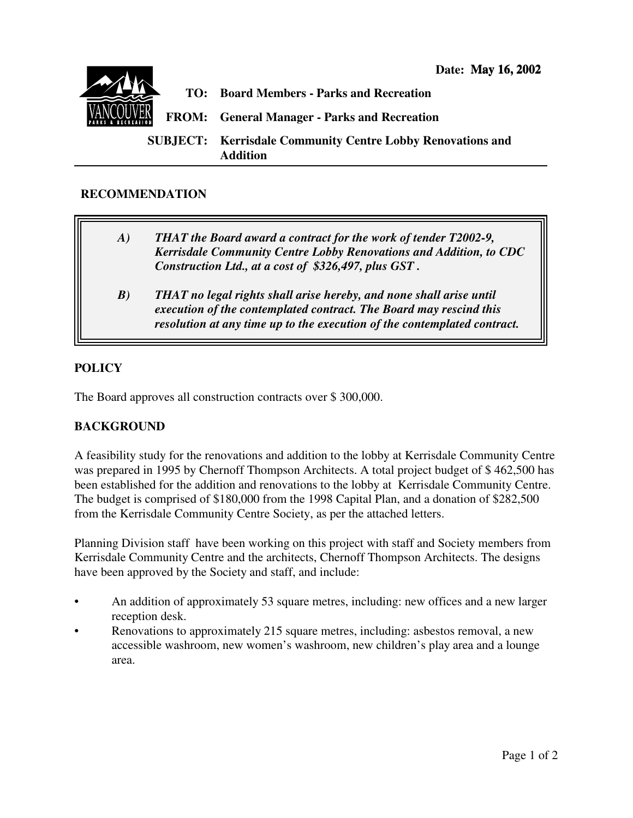

## **RECOMMENDATION**

- *A) THAT the Board award a contract for the work of tender T2002-9, Kerrisdale Community Centre Lobby Renovations and Addition, to CDC Construction Ltd., at a cost of \$326,497, plus GST .*
	- *B) THAT no legal rights shall arise hereby, and none shall arise until execution of the contemplated contract. The Board may rescind this resolution at any time up to the execution of the contemplated contract.*

## **POLICY**

The Board approves all construction contracts over \$ 300,000.

## **BACKGROUND**

A feasibility study for the renovations and addition to the lobby at Kerrisdale Community Centre was prepared in 1995 by Chernoff Thompson Architects. A total project budget of \$ 462,500 has been established for the addition and renovations to the lobby at Kerrisdale Community Centre. The budget is comprised of \$180,000 from the 1998 Capital Plan, and a donation of \$282,500 from the Kerrisdale Community Centre Society, as per the attached letters.

Planning Division staff have been working on this project with staff and Society members from Kerrisdale Community Centre and the architects, Chernoff Thompson Architects. The designs have been approved by the Society and staff, and include:

- An addition of approximately 53 square metres, including: new offices and a new larger reception desk.
- Renovations to approximately 215 square metres, including: asbestos removal, a new accessible washroom, new women's washroom, new children's play area and a lounge area.